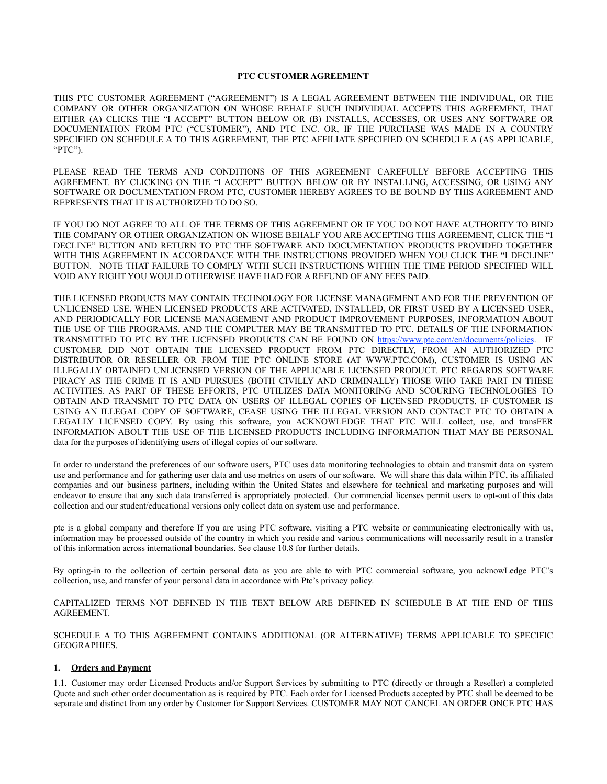#### **PTC CUSTOMER AGREEMENT**

THIS PTC CUSTOMER AGREEMENT ("AGREEMENT") IS A LEGAL AGREEMENT BETWEEN THE INDIVIDUAL, OR THE COMPANY OR OTHER ORGANIZATION ON WHOSE BEHALF SUCH INDIVIDUAL ACCEPTS THIS AGREEMENT, THAT EITHER (A) CLICKS THE "I ACCEPT" BUTTON BELOW OR (B) INSTALLS, ACCESSES, OR USES ANY SOFTWARE OR DOCUMENTATION FROM PTC ("CUSTOMER"), AND PTC INC. OR, IF THE PURCHASE WAS MADE IN A COUNTRY SPECIFIED ON SCHEDULE A TO THIS AGREEMENT, THE PTC AFFILIATE SPECIFIED ON SCHEDULE A (AS APPLICABLE, "PTC").

PLEASE READ THE TERMS AND CONDITIONS OF THIS AGREEMENT CAREFULLY BEFORE ACCEPTING THIS AGREEMENT. BY CLICKING ON THE "I ACCEPT" BUTTON BELOW OR BY INSTALLING, ACCESSING, OR USING ANY SOFTWARE OR DOCUMENTATION FROM PTC, CUSTOMER HEREBY AGREES TO BE BOUND BY THIS AGREEMENT AND REPRESENTS THAT IT IS AUTHORIZED TO DO SO.

IF YOU DO NOT AGREE TO ALL OF THE TERMS OF THIS AGREEMENT OR IF YOU DO NOT HAVE AUTHORITY TO BIND THE COMPANY OR OTHER ORGANIZATION ON WHOSE BEHALF YOU ARE ACCEPTING THIS AGREEMENT, CLICK THE "I DECLINE" BUTTON AND RETURN TO PTC THE SOFTWARE AND DOCUMENTATION PRODUCTS PROVIDED TOGETHER WITH THIS AGREEMENT IN ACCORDANCE WITH THE INSTRUCTIONS PROVIDED WHEN YOU CLICK THE "I DECLINE" BUTTON. NOTE THAT FAILURE TO COMPLY WITH SUCH INSTRUCTIONS WITHIN THE TIME PERIOD SPECIFIED WILL VOID ANY RIGHT YOU WOULD OTHERWISE HAVE HAD FOR A REFUND OF ANY FEES PAID.

THE LICENSED PRODUCTS MAY CONTAIN TECHNOLOGY FOR LICENSE MANAGEMENT AND FOR THE PREVENTION OF UNLICENSED USE. WHEN LICENSED PRODUCTS ARE ACTIVATED, INSTALLED, OR FIRST USED BY A LICENSED USER, AND PERIODICALLY FOR LICENSE MANAGEMENT AND PRODUCT IMPROVEMENT PURPOSES, INFORMATION ABOUT THE USE OF THE PROGRAMS, AND THE COMPUTER MAY BE TRANSMITTED TO PTC. DETAILS OF THE INFORMATION TRANSMITTED TO PTC BY THE LICENSED PRODUCTS CAN BE FOUND ON [https://www.ptc.com/en/documents/policies.](https://www.ptc.com/en/documents/policies) IF CUSTOMER DID NOT OBTAIN THE LICENSED PRODUCT FROM PTC DIRECTLY, FROM AN AUTHORIZED PTC DISTRIBUTOR OR RESELLER OR FROM THE PTC ONLINE STORE (AT WWW.PTC.COM), CUSTOMER IS USING AN ILLEGALLY OBTAINED UNLICENSED VERSION OF THE APPLICABLE LICENSED PRODUCT. PTC REGARDS SOFTWARE PIRACY AS THE CRIME IT IS AND PURSUES (BOTH CIVILLY AND CRIMINALLY) THOSE WHO TAKE PART IN THESE ACTIVITIES. AS PART OF THESE EFFORTS, PTC UTILIZES DATA MONITORING AND SCOURING TECHNOLOGIES TO OBTAIN AND TRANSMIT TO PTC DATA ON USERS OF ILLEGAL COPIES OF LICENSED PRODUCTS. IF CUSTOMER IS USING AN ILLEGAL COPY OF SOFTWARE, CEASE USING THE ILLEGAL VERSION AND CONTACT PTC TO OBTAIN A LEGALLY LICENSED COPY. By using this software, you ACKNOWLEDGE THAT PTC WILL collect, use, and transFER INFORMATION ABOUT THE USE OF THE LICENSED PRODUCTS INCLUDING INFORMATION THAT MAY BE PERSONAL data for the purposes of identifying users of illegal copies of our software.

In order to understand the preferences of our software users, PTC uses data monitoring technologies to obtain and transmit data on system use and performance and for gathering user data and use metrics on users of our software. We will share this data within PTC, its affiliated companies and our business partners, including within the United States and elsewhere for technical and marketing purposes and will endeavor to ensure that any such data transferred is appropriately protected. Our commercial licenses permit users to opt-out of this data collection and our student/educational versions only collect data on system use and performance.

ptc is a global company and therefore If you are using PTC software, visiting a PTC website or communicating electronically with us, information may be processed outside of the country in which you reside and various communications will necessarily result in a transfer of this information across international boundaries. See clause 10.8 for further details.

By opting-in to the collection of certain personal data as you are able to with PTC commercial software, you acknowLedge PTC's collection, use, and transfer of your personal data in accordance with Ptc's privacy policy.

CAPITALIZED TERMS NOT DEFINED IN THE TEXT BELOW ARE DEFINED IN SCHEDULE B AT THE END OF THIS AGREEMENT.

SCHEDULE A TO THIS AGREEMENT CONTAINS ADDITIONAL (OR ALTERNATIVE) TERMS APPLICABLE TO SPECIFIC GEOGRAPHIES.

#### **1. Orders and Payment**

1.1. Customer may order Licensed Products and/or Support Services by submitting to PTC (directly or through a Reseller) a completed Quote and such other order documentation as is required by PTC. Each order for Licensed Products accepted by PTC shall be deemed to be separate and distinct from any order by Customer for Support Services. CUSTOMER MAY NOT CANCEL AN ORDER ONCE PTC HAS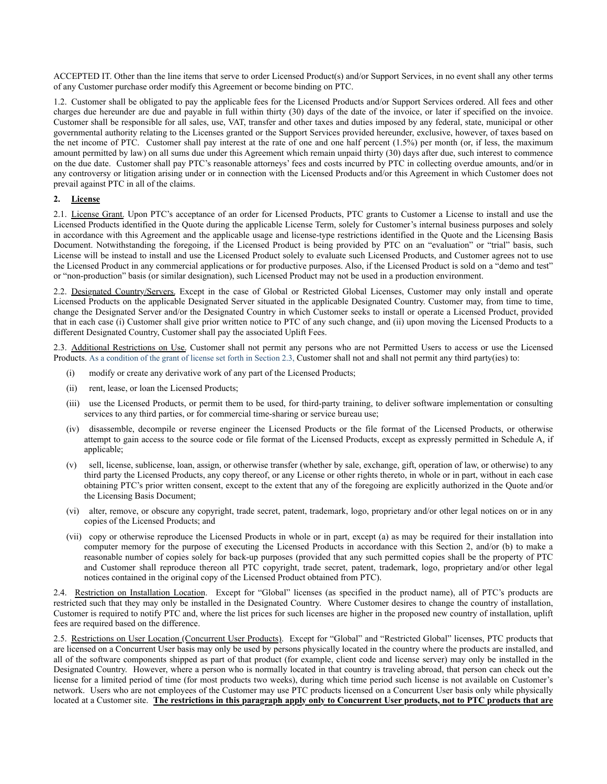ACCEPTED IT. Other than the line items that serve to order Licensed Product(s) and/or Support Services, in no event shall any other terms of any Customer purchase order modify this Agreement or become binding on PTC.

1.2. Customer shall be obligated to pay the applicable fees for the Licensed Products and/or Support Services ordered. All fees and other charges due hereunder are due and payable in full within thirty (30) days of the date of the invoice, or later if specified on the invoice. Customer shall be responsible for all sales, use, VAT, transfer and other taxes and duties imposed by any federal, state, municipal or other governmental authority relating to the Licenses granted or the Support Services provided hereunder, exclusive, however, of taxes based on the net income of PTC. Customer shall pay interest at the rate of one and one half percent (1.5%) per month (or, if less, the maximum amount permitted by law) on all sums due under this Agreement which remain unpaid thirty (30) days after due, such interest to commence on the due date. Customer shall pay PTC's reasonable attorneys' fees and costs incurred by PTC in collecting overdue amounts, and/or in any controversy or litigation arising under or in connection with the Licensed Products and/or this Agreement in which Customer does not prevail against PTC in all of the claims.

# **2. License**

2.1. License Grant. Upon PTC's acceptance of an order for Licensed Products, PTC grants to Customer a License to install and use the Licensed Products identified in the Quote during the applicable License Term, solely for Customer's internal business purposes and solely in accordance with this Agreement and the applicable usage and license-type restrictions identified in the Quote and the Licensing Basis Document. Notwithstanding the foregoing, if the Licensed Product is being provided by PTC on an "evaluation" or "trial" basis, such License will be instead to install and use the Licensed Product solely to evaluate such Licensed Products, and Customer agrees not to use the Licensed Product in any commercial applications or for productive purposes. Also, if the Licensed Product is sold on a "demo and test" or "non-production" basis (or similar designation), such Licensed Product may not be used in a production environment.

2.2. Designated Country/Servers. Except in the case of Global or Restricted Global Licenses, Customer may only install and operate Licensed Products on the applicable Designated Server situated in the applicable Designated Country. Customer may, from time to time, change the Designated Server and/or the Designated Country in which Customer seeks to install or operate a Licensed Product, provided that in each case (i) Customer shall give prior written notice to PTC of any such change, and (ii) upon moving the Licensed Products to a different Designated Country, Customer shall pay the associated Uplift Fees.

2.3. Additional Restrictions on Use. Customer shall not permit any persons who are not Permitted Users to access or use the Licensed Products. As a condition of the grant of license set forth in Section 2.3, Customer shall not and shall not permit any third party(ies) to:

- (i) modify or create any derivative work of any part of the Licensed Products;
- (ii) rent, lease, or loan the Licensed Products;
- (iii) use the Licensed Products, or permit them to be used, for third-party training, to deliver software implementation or consulting services to any third parties, or for commercial time-sharing or service bureau use;
- (iv) disassemble, decompile or reverse engineer the Licensed Products or the file format of the Licensed Products, or otherwise attempt to gain access to the source code or file format of the Licensed Products, except as expressly permitted in Schedule A, if applicable;
- (v) sell, license, sublicense, loan, assign, or otherwise transfer (whether by sale, exchange, gift, operation of law, or otherwise) to any third party the Licensed Products, any copy thereof, or any License or other rights thereto, in whole or in part, without in each case obtaining PTC's prior written consent, except to the extent that any of the foregoing are explicitly authorized in the Quote and/or the Licensing Basis Document;
- (vi) alter, remove, or obscure any copyright, trade secret, patent, trademark, logo, proprietary and/or other legal notices on or in any copies of the Licensed Products; and
- (vii) copy or otherwise reproduce the Licensed Products in whole or in part, except (a) as may be required for their installation into computer memory for the purpose of executing the Licensed Products in accordance with this Section 2, and/or (b) to make a reasonable number of copies solely for back-up purposes (provided that any such permitted copies shall be the property of PTC and Customer shall reproduce thereon all PTC copyright, trade secret, patent, trademark, logo, proprietary and/or other legal notices contained in the original copy of the Licensed Product obtained from PTC).

2.4. Restriction on Installation Location. Except for "Global" licenses (as specified in the product name), all of PTC's products are restricted such that they may only be installed in the Designated Country. Where Customer desires to change the country of installation, Customer is required to notify PTC and, where the list prices for such licenses are higher in the proposed new country of installation, uplift fees are required based on the difference.

2.5. Restrictions on User Location (Concurrent User Products). Except for "Global" and "Restricted Global" licenses, PTC products that are licensed on a Concurrent User basis may only be used by persons physically located in the country where the products are installed, and all of the software components shipped as part of that product (for example, client code and license server) may only be installed in the Designated Country. However, where a person who is normally located in that country is traveling abroad, that person can check out the license for a limited period of time (for most products two weeks), during which time period such license is not available on Customer's network. Users who are not employees of the Customer may use PTC products licensed on a Concurrent User basis only while physically located at a Customer site. **The restrictions in this paragraph apply only to Concurrent User products, not to PTC products that are**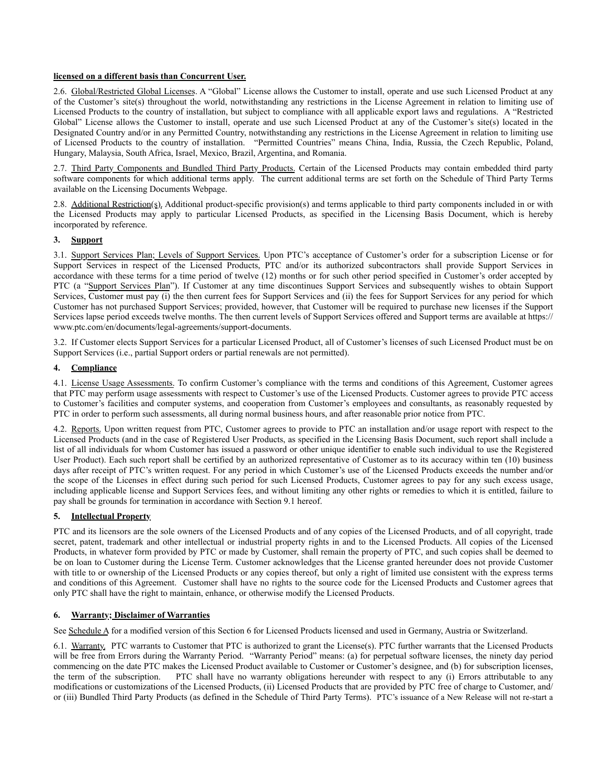# **licensed on a different basis than Concurrent User.**

2.6. Global/Restricted Global Licenses. A "Global" License allows the Customer to install, operate and use such Licensed Product at any of the Customer's site(s) throughout the world, notwithstanding any restrictions in the License Agreement in relation to limiting use of Licensed Products to the country of installation, but subject to compliance with all applicable export laws and regulations. A "Restricted Global" License allows the Customer to install, operate and use such Licensed Product at any of the Customer's site(s) located in the Designated Country and/or in any Permitted Country, notwithstanding any restrictions in the License Agreement in relation to limiting use of Licensed Products to the country of installation. "Permitted Countries" means China, India, Russia, the Czech Republic, Poland, Hungary, Malaysia, South Africa, Israel, Mexico, Brazil, Argentina, and Romania.

2.7. Third Party Components and Bundled Third Party Products. Certain of the Licensed Products may contain embedded third party software components for which additional terms apply. The current additional terms are set forth on the Schedule of Third Party Terms available on the Licensing Documents Webpage.

2.8. Additional Restriction(s). Additional product-specific provision(s) and terms applicable to third party components included in or with the Licensed Products may apply to particular Licensed Products, as specified in the Licensing Basis Document, which is hereby incorporated by reference.

# **3. Support**

3.1. Support Services Plan; Levels of Support Services. Upon PTC's acceptance of Customer's order for a subscription License or for Support Services in respect of the Licensed Products, PTC and/or its authorized subcontractors shall provide Support Services in accordance with these terms for a time period of twelve (12) months or for such other period specified in Customer's order accepted by PTC (a "Support Services Plan"). If Customer at any time discontinues Support Services and subsequently wishes to obtain Support Services, Customer must pay (i) the then current fees for Support Services and (ii) the fees for Support Services for any period for which Customer has not purchased Support Services; provided, however, that Customer will be required to purchase new licenses if the Support Services lapse period exceeds twelve months. The then current levels of Support Services offered and Support terms are available at https:// www.ptc.com/en/documents/legal-agreements/support-documents.

3.2. If Customer elects Support Services for a particular Licensed Product, all of Customer's licenses of such Licensed Product must be on Support Services (i.e., partial Support orders or partial renewals are not permitted).

# **4. Compliance**

4.1. License Usage Assessments. To confirm Customer's compliance with the terms and conditions of this Agreement, Customer agrees that PTC may perform usage assessments with respect to Customer's use of the Licensed Products. Customer agrees to provide PTC access to Customer's facilities and computer systems, and cooperation from Customer's employees and consultants, as reasonably requested by PTC in order to perform such assessments, all during normal business hours, and after reasonable prior notice from PTC.

4.2. Reports. Upon written request from PTC, Customer agrees to provide to PTC an installation and/or usage report with respect to the Licensed Products (and in the case of Registered User Products, as specified in the Licensing Basis Document, such report shall include a list of all individuals for whom Customer has issued a password or other unique identifier to enable such individual to use the Registered User Product). Each such report shall be certified by an authorized representative of Customer as to its accuracy within ten (10) business days after receipt of PTC's written request. For any period in which Customer's use of the Licensed Products exceeds the number and/or the scope of the Licenses in effect during such period for such Licensed Products, Customer agrees to pay for any such excess usage, including applicable license and Support Services fees, and without limiting any other rights or remedies to which it is entitled, failure to pay shall be grounds for termination in accordance with Section 9.1 hereof.

# **5. Intellectual Property**

PTC and its licensors are the sole owners of the Licensed Products and of any copies of the Licensed Products, and of all copyright, trade secret, patent, trademark and other intellectual or industrial property rights in and to the Licensed Products. All copies of the Licensed Products, in whatever form provided by PTC or made by Customer, shall remain the property of PTC, and such copies shall be deemed to be on loan to Customer during the License Term. Customer acknowledges that the License granted hereunder does not provide Customer with title to or ownership of the Licensed Products or any copies thereof, but only a right of limited use consistent with the express terms and conditions of this Agreement. Customer shall have no rights to the source code for the Licensed Products and Customer agrees that only PTC shall have the right to maintain, enhance, or otherwise modify the Licensed Products.

# **6. Warranty; Disclaimer of Warranties**

See Schedule A for a modified version of this Section 6 for Licensed Products licensed and used in Germany, Austria or Switzerland.

6.1. Warranty. PTC warrants to Customer that PTC is authorized to grant the License(s). PTC further warrants that the Licensed Products will be free from Errors during the Warranty Period. "Warranty Period" means: (a) for perpetual software licenses, the ninety day period commencing on the date PTC makes the Licensed Product available to Customer or Customer's designee, and (b) for subscription licenses, the term of the subscription. PTC shall have no warranty obligations hereunder with respect to any (i) Errors attributable to any modifications or customizations of the Licensed Products, (ii) Licensed Products that are provided by PTC free of charge to Customer, and/ or (iii) Bundled Third Party Products (as defined in the Schedule of Third Party Terms). PTC's issuance of a New Release will not re-start a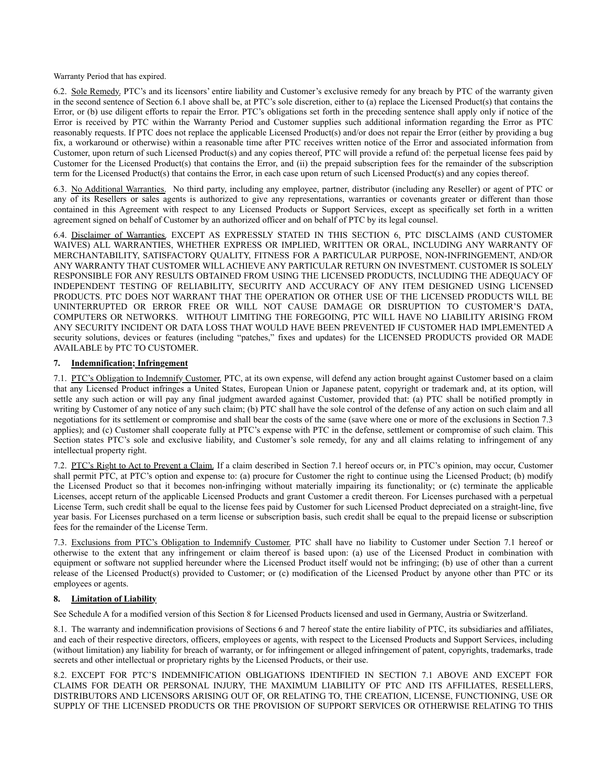Warranty Period that has expired.

6.2. Sole Remedy. PTC's and its licensors' entire liability and Customer's exclusive remedy for any breach by PTC of the warranty given in the second sentence of Section 6.1 above shall be, at PTC's sole discretion, either to (a) replace the Licensed Product(s) that contains the Error, or (b) use diligent efforts to repair the Error. PTC's obligations set forth in the preceding sentence shall apply only if notice of the Error is received by PTC within the Warranty Period and Customer supplies such additional information regarding the Error as PTC reasonably requests. If PTC does not replace the applicable Licensed Product(s) and/or does not repair the Error (either by providing a bug fix, a workaround or otherwise) within a reasonable time after PTC receives written notice of the Error and associated information from Customer, upon return of such Licensed Product(s) and any copies thereof, PTC will provide a refund of: the perpetual license fees paid by Customer for the Licensed Product(s) that contains the Error, and (ii) the prepaid subscription fees for the remainder of the subscription term for the Licensed Product(s) that contains the Error, in each case upon return of such Licensed Product(s) and any copies thereof.

6.3. No Additional Warranties. No third party, including any employee, partner, distributor (including any Reseller) or agent of PTC or any of its Resellers or sales agents is authorized to give any representations, warranties or covenants greater or different than those contained in this Agreement with respect to any Licensed Products or Support Services, except as specifically set forth in a written agreement signed on behalf of Customer by an authorized officer and on behalf of PTC by its legal counsel.

6.4. Disclaimer of Warranties. EXCEPT AS EXPRESSLY STATED IN THIS SECTION 6, PTC DISCLAIMS (AND CUSTOMER WAIVES) ALL WARRANTIES, WHETHER EXPRESS OR IMPLIED, WRITTEN OR ORAL, INCLUDING ANY WARRANTY OF MERCHANTABILITY, SATISFACTORY QUALITY, FITNESS FOR A PARTICULAR PURPOSE, NON-INFRINGEMENT, AND/OR ANY WARRANTY THAT CUSTOMER WILL ACHIEVE ANY PARTICULAR RETURN ON INVESTMENT. CUSTOMER IS SOLELY RESPONSIBLE FOR ANY RESULTS OBTAINED FROM USING THE LICENSED PRODUCTS, INCLUDING THE ADEQUACY OF INDEPENDENT TESTING OF RELIABILITY, SECURITY AND ACCURACY OF ANY ITEM DESIGNED USING LICENSED PRODUCTS. PTC DOES NOT WARRANT THAT THE OPERATION OR OTHER USE OF THE LICENSED PRODUCTS WILL BE UNINTERRUPTED OR ERROR FREE OR WILL NOT CAUSE DAMAGE OR DISRUPTION TO CUSTOMER'S DATA, COMPUTERS OR NETWORKS. WITHOUT LIMITING THE FOREGOING, PTC WILL HAVE NO LIABILITY ARISING FROM ANY SECURITY INCIDENT OR DATA LOSS THAT WOULD HAVE BEEN PREVENTED IF CUSTOMER HAD IMPLEMENTED A security solutions, devices or features (including "patches," fixes and updates) for the LICENSED PRODUCTS provided OR MADE AVAILABLE by PTC TO CUSTOMER.

# **7. Indemnification; Infringement**

7.1. PTC's Obligation to Indemnify Customer. PTC, at its own expense, will defend any action brought against Customer based on a claim that any Licensed Product infringes a United States, European Union or Japanese patent, copyright or trademark and, at its option, will settle any such action or will pay any final judgment awarded against Customer, provided that: (a) PTC shall be notified promptly in writing by Customer of any notice of any such claim; (b) PTC shall have the sole control of the defense of any action on such claim and all negotiations for its settlement or compromise and shall bear the costs of the same (save where one or more of the exclusions in Section 7.3 applies); and (c) Customer shall cooperate fully at PTC's expense with PTC in the defense, settlement or compromise of such claim. This Section states PTC's sole and exclusive liability, and Customer's sole remedy, for any and all claims relating to infringement of any intellectual property right.

7.2. PTC's Right to Act to Prevent a Claim. If a claim described in Section 7.1 hereof occurs or, in PTC's opinion, may occur, Customer shall permit PTC, at PTC's option and expense to: (a) procure for Customer the right to continue using the Licensed Product; (b) modify the Licensed Product so that it becomes non-infringing without materially impairing its functionality; or (c) terminate the applicable Licenses, accept return of the applicable Licensed Products and grant Customer a credit thereon. For Licenses purchased with a perpetual License Term, such credit shall be equal to the license fees paid by Customer for such Licensed Product depreciated on a straight-line, five year basis. For Licenses purchased on a term license or subscription basis, such credit shall be equal to the prepaid license or subscription fees for the remainder of the License Term.

7.3. Exclusions from PTC's Obligation to Indemnify Customer. PTC shall have no liability to Customer under Section 7.1 hereof or otherwise to the extent that any infringement or claim thereof is based upon: (a) use of the Licensed Product in combination with equipment or software not supplied hereunder where the Licensed Product itself would not be infringing; (b) use of other than a current release of the Licensed Product(s) provided to Customer; or (c) modification of the Licensed Product by anyone other than PTC or its employees or agents.

# **8. Limitation of Liability**

See Schedule A for a modified version of this Section 8 for Licensed Products licensed and used in Germany, Austria or Switzerland.

8.1. The warranty and indemnification provisions of Sections 6 and 7 hereof state the entire liability of PTC, its subsidiaries and affiliates, and each of their respective directors, officers, employees or agents, with respect to the Licensed Products and Support Services, including (without limitation) any liability for breach of warranty, or for infringement or alleged infringement of patent, copyrights, trademarks, trade secrets and other intellectual or proprietary rights by the Licensed Products, or their use.

8.2. EXCEPT FOR PTC'S INDEMNIFICATION OBLIGATIONS IDENTIFIED IN SECTION 7.1 ABOVE AND EXCEPT FOR CLAIMS FOR DEATH OR PERSONAL INJURY, THE MAXIMUM LIABILITY OF PTC AND ITS AFFILIATES, RESELLERS, DISTRIBUTORS AND LICENSORS ARISING OUT OF, OR RELATING TO, THE CREATION, LICENSE, FUNCTIONING, USE OR SUPPLY OF THE LICENSED PRODUCTS OR THE PROVISION OF SUPPORT SERVICES OR OTHERWISE RELATING TO THIS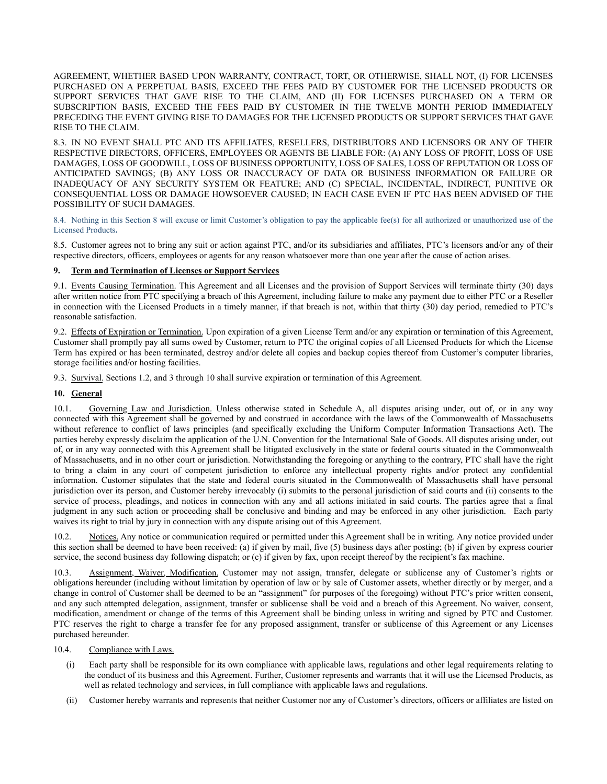AGREEMENT, WHETHER BASED UPON WARRANTY, CONTRACT, TORT, OR OTHERWISE, SHALL NOT, (I) FOR LICENSES PURCHASED ON A PERPETUAL BASIS, EXCEED THE FEES PAID BY CUSTOMER FOR THE LICENSED PRODUCTS OR SUPPORT SERVICES THAT GAVE RISE TO THE CLAIM, AND (II) FOR LICENSES PURCHASED ON A TERM OR SUBSCRIPTION BASIS, EXCEED THE FEES PAID BY CUSTOMER IN THE TWELVE MONTH PERIOD IMMEDIATELY PRECEDING THE EVENT GIVING RISE TO DAMAGES FOR THE LICENSED PRODUCTS OR SUPPORT SERVICES THAT GAVE RISE TO THE CLAIM.

8.3. IN NO EVENT SHALL PTC AND ITS AFFILIATES, RESELLERS, DISTRIBUTORS AND LICENSORS OR ANY OF THEIR RESPECTIVE DIRECTORS, OFFICERS, EMPLOYEES OR AGENTS BE LIABLE FOR: (A) ANY LOSS OF PROFIT, LOSS OF USE DAMAGES, LOSS OF GOODWILL, LOSS OF BUSINESS OPPORTUNITY, LOSS OF SALES, LOSS OF REPUTATION OR LOSS OF ANTICIPATED SAVINGS; (B) ANY LOSS OR INACCURACY OF DATA OR BUSINESS INFORMATION OR FAILURE OR INADEQUACY OF ANY SECURITY SYSTEM OR FEATURE; AND (C) SPECIAL, INCIDENTAL, INDIRECT, PUNITIVE OR CONSEQUENTIAL LOSS OR DAMAGE HOWSOEVER CAUSED; IN EACH CASE EVEN IF PTC HAS BEEN ADVISED OF THE POSSIBILITY OF SUCH DAMAGES.

8.4. Nothing in this Section 8 will excuse or limit Customer's obligation to pay the applicable fee(s) for all authorized or unauthorized use of the Licensed Products**.**

8.5. Customer agrees not to bring any suit or action against PTC, and/or its subsidiaries and affiliates, PTC's licensors and/or any of their respective directors, officers, employees or agents for any reason whatsoever more than one year after the cause of action arises.

# **9. Term and Termination of Licenses or Support Services**

9.1. Events Causing Termination. This Agreement and all Licenses and the provision of Support Services will terminate thirty (30) days after written notice from PTC specifying a breach of this Agreement, including failure to make any payment due to either PTC or a Reseller in connection with the Licensed Products in a timely manner, if that breach is not, within that thirty (30) day period, remedied to PTC's reasonable satisfaction.

9.2. Effects of Expiration or Termination. Upon expiration of a given License Term and/or any expiration or termination of this Agreement, Customer shall promptly pay all sums owed by Customer, return to PTC the original copies of all Licensed Products for which the License Term has expired or has been terminated, destroy and/or delete all copies and backup copies thereof from Customer's computer libraries, storage facilities and/or hosting facilities.

9.3. Survival. Sections 1.2, and 3 through 10 shall survive expiration or termination of this Agreement.

# **10. General**

10.1. Governing Law and Jurisdiction. Unless otherwise stated in Schedule A, all disputes arising under, out of, or in any way connected with this Agreement shall be governed by and construed in accordance with the laws of the Commonwealth of Massachusetts without reference to conflict of laws principles (and specifically excluding the Uniform Computer Information Transactions Act). The parties hereby expressly disclaim the application of the U.N. Convention for the International Sale of Goods. All disputes arising under, out of, or in any way connected with this Agreement shall be litigated exclusively in the state or federal courts situated in the Commonwealth of Massachusetts, and in no other court or jurisdiction. Notwithstanding the foregoing or anything to the contrary, PTC shall have the right to bring a claim in any court of competent jurisdiction to enforce any intellectual property rights and/or protect any confidential information. Customer stipulates that the state and federal courts situated in the Commonwealth of Massachusetts shall have personal jurisdiction over its person, and Customer hereby irrevocably (i) submits to the personal jurisdiction of said courts and (ii) consents to the service of process, pleadings, and notices in connection with any and all actions initiated in said courts. The parties agree that a final judgment in any such action or proceeding shall be conclusive and binding and may be enforced in any other jurisdiction. Each party waives its right to trial by jury in connection with any dispute arising out of this Agreement.

10.2. Notices. Any notice or communication required or permitted under this Agreement shall be in writing. Any notice provided under this section shall be deemed to have been received: (a) if given by mail, five (5) business days after posting; (b) if given by express courier service, the second business day following dispatch; or (c) if given by fax, upon receipt thereof by the recipient's fax machine.

10.3. Assignment, Waiver, Modification. Customer may not assign, transfer, delegate or sublicense any of Customer's rights or obligations hereunder (including without limitation by operation of law or by sale of Customer assets, whether directly or by merger, and a change in control of Customer shall be deemed to be an "assignment" for purposes of the foregoing) without PTC's prior written consent, and any such attempted delegation, assignment, transfer or sublicense shall be void and a breach of this Agreement. No waiver, consent, modification, amendment or change of the terms of this Agreement shall be binding unless in writing and signed by PTC and Customer. PTC reserves the right to charge a transfer fee for any proposed assignment, transfer or sublicense of this Agreement or any Licenses purchased hereunder.

# 10.4. Compliance with Laws.

- (i) Each party shall be responsible for its own compliance with applicable laws, regulations and other legal requirements relating to the conduct of its business and this Agreement. Further, Customer represents and warrants that it will use the Licensed Products, as well as related technology and services, in full compliance with applicable laws and regulations.
- (ii) Customer hereby warrants and represents that neither Customer nor any of Customer's directors, officers or affiliates are listed on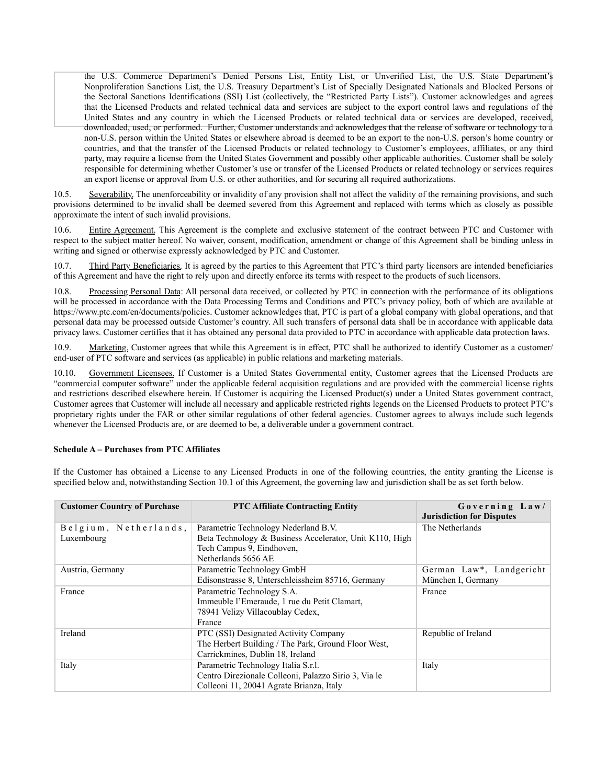the U.S. Commerce Department's Denied Persons List, Entity List, or Unverified List, the U.S. State Department's Nonproliferation Sanctions List, the U.S. Treasury Department's List of Specially Designated Nationals and Blocked Persons or the Sectoral Sanctions Identifications (SSI) List (collectively, the "Restricted Party Lists"). Customer acknowledges and agrees that the Licensed Products and related technical data and services are subject to the export control laws and regulations of the United States and any country in which the Licensed Products or related technical data or services are developed, received, downloaded, used, or performed. Further, Customer understands and acknowledges that the release of software or technology to a non-U.S. person within the United States or elsewhere abroad is deemed to be an export to the non-U.S. person's home country or countries, and that the transfer of the Licensed Products or related technology to Customer's employees, affiliates, or any third party, may require a license from the United States Government and possibly other applicable authorities. Customer shall be solely responsible for determining whether Customer's use or transfer of the Licensed Products or related technology or services requires an export license or approval from U.S. or other authorities, and for securing all required authorizations.

10.5. Severability. The unenforceability or invalidity of any provision shall not affect the validity of the remaining provisions, and such provisions determined to be invalid shall be deemed severed from this Agreement and replaced with terms which as closely as possible approximate the intent of such invalid provisions.

10.6. Entire Agreement. This Agreement is the complete and exclusive statement of the contract between PTC and Customer with respect to the subject matter hereof. No waiver, consent, modification, amendment or change of this Agreement shall be binding unless in writing and signed or otherwise expressly acknowledged by PTC and Customer.

10.7. Third Party Beneficiaries. It is agreed by the parties to this Agreement that PTC's third party licensors are intended beneficiaries of this Agreement and have the right to rely upon and directly enforce its terms with respect to the products of such licensors.

10.8. Processing Personal Data: All personal data received, or collected by PTC in connection with the performance of its obligations will be processed in accordance with the Data Processing Terms and Conditions and PTC's privacy policy, both of which are available at https://www.ptc.com/en/documents/policies. Customer acknowledges that, PTC is part of a global company with global operations, and that personal data may be processed outside Customer's country. All such transfers of personal data shall be in accordance with applicable data privacy laws. Customer certifies that it has obtained any personal data provided to PTC in accordance with applicable data protection laws.

10.9. Marketing. Customer agrees that while this Agreement is in effect, PTC shall be authorized to identify Customer as a customer/ end-user of PTC software and services (as applicable) in public relations and marketing materials.

10.10. Government Licensees. If Customer is a United States Governmental entity, Customer agrees that the Licensed Products are "commercial computer software" under the applicable federal acquisition regulations and are provided with the commercial license rights and restrictions described elsewhere herein. If Customer is acquiring the Licensed Product(s) under a United States government contract, Customer agrees that Customer will include all necessary and applicable restricted rights legends on the Licensed Products to protect PTC's proprietary rights under the FAR or other similar regulations of other federal agencies. Customer agrees to always include such legends whenever the Licensed Products are, or are deemed to be, a deliverable under a government contract.

# **Schedule A – Purchases from PTC Affiliates**

If the Customer has obtained a License to any Licensed Products in one of the following countries, the entity granting the License is specified below and, notwithstanding Section 10.1 of this Agreement, the governing law and jurisdiction shall be as set forth below.

| <b>Customer Country of Purchase</b> | <b>PTC Affiliate Contracting Entity</b>                 | Governing Law/<br><b>Jurisdiction for Disputes</b> |
|-------------------------------------|---------------------------------------------------------|----------------------------------------------------|
| Belgium, Netherlands,               | Parametric Technology Nederland B.V.                    | The Netherlands                                    |
| Luxembourg                          | Beta Technology & Business Accelerator, Unit K110, High |                                                    |
|                                     | Tech Campus 9, Eindhoven,                               |                                                    |
|                                     | Netherlands 5656 AE                                     |                                                    |
| Austria, Germany                    | Parametric Technology GmbH                              | German Law*, Landgericht                           |
|                                     | Edisonstrasse 8, Unterschleissheim 85716, Germany       | München I, Germany                                 |
| France                              | Parametric Technology S.A.                              | France                                             |
|                                     | Immeuble l'Emeraude, 1 rue du Petit Clamart,            |                                                    |
|                                     | 78941 Velizy Villacoublay Cedex,                        |                                                    |
|                                     | France                                                  |                                                    |
| Ireland                             | PTC (SSI) Designated Activity Company                   | Republic of Ireland                                |
|                                     | The Herbert Building / The Park, Ground Floor West,     |                                                    |
|                                     | Carrickmines, Dublin 18, Ireland                        |                                                    |
| Italy                               | Parametric Technology Italia S.r.l.                     | Italy                                              |
|                                     | Centro Direzionale Colleoni, Palazzo Sirio 3, Via le    |                                                    |
|                                     | Colleoni 11, 20041 Agrate Brianza, Italy                |                                                    |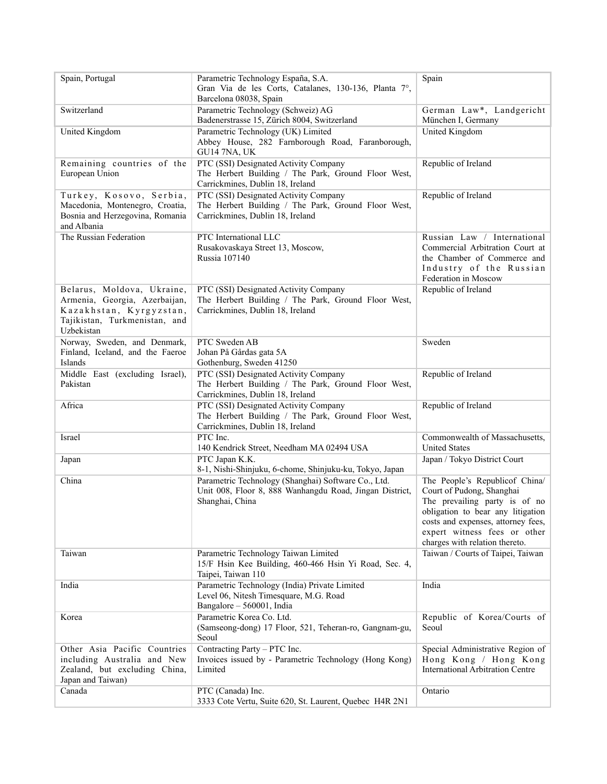| Spain, Portugal                                                                                                                       | Parametric Technology España, S.A.<br>Gran Via de les Corts, Catalanes, 130-136, Planta 7°,<br>Barcelona 08038, Spain             | Spain                                                                                                                                                                                                                                     |
|---------------------------------------------------------------------------------------------------------------------------------------|-----------------------------------------------------------------------------------------------------------------------------------|-------------------------------------------------------------------------------------------------------------------------------------------------------------------------------------------------------------------------------------------|
| Switzerland                                                                                                                           | Parametric Technology (Schweiz) AG<br>Badenerstrasse 15, Zürich 8004, Switzerland                                                 | German Law*, Landgericht<br>München I, Germany                                                                                                                                                                                            |
| United Kingdom                                                                                                                        | Parametric Technology (UK) Limited<br>Abbey House, 282 Farnborough Road, Faranborough,<br>GU14 7NA, UK                            | <b>United Kingdom</b>                                                                                                                                                                                                                     |
| Remaining countries of the<br>European Union                                                                                          | PTC (SSI) Designated Activity Company<br>The Herbert Building / The Park, Ground Floor West,<br>Carrickmines, Dublin 18, Ireland  | Republic of Ireland                                                                                                                                                                                                                       |
| Turkey, Kosovo, Serbia,<br>Macedonia, Montenegro, Croatia,<br>Bosnia and Herzegovina, Romania<br>and Albania                          | PTC (SSI) Designated Activity Company<br>The Herbert Building / The Park, Ground Floor West,<br>Carrickmines, Dublin 18, Ireland  | Republic of Ireland                                                                                                                                                                                                                       |
| The Russian Federation                                                                                                                | PTC International LLC<br>Rusakovaskaya Street 13, Moscow,<br>Russia 107140                                                        | Russian Law / International<br>Commercial Arbitration Court at<br>the Chamber of Commerce and<br>Industry of the Russian<br>Federation in Moscow                                                                                          |
| Belarus, Moldova, Ukraine,<br>Armenia, Georgia, Azerbaijan,<br>Kazakhstan, Kyrgyzstan,<br>Tajikistan, Turkmenistan, and<br>Uzbekistan | PTC (SSI) Designated Activity Company<br>The Herbert Building / The Park, Ground Floor West,<br>Carrickmines, Dublin 18, Ireland  | Republic of Ireland                                                                                                                                                                                                                       |
| Norway, Sweden, and Denmark,<br>Finland, Iceland, and the Faeroe<br>Islands                                                           | PTC Sweden AB<br>Johan På Gårdas gata 5A<br>Gothenburg, Sweden 41250                                                              | Sweden                                                                                                                                                                                                                                    |
| Middle East (excluding Israel),<br>Pakistan                                                                                           | PTC (SSI) Designated Activity Company<br>The Herbert Building / The Park, Ground Floor West,<br>Carrickmines, Dublin 18, Ireland  | Republic of Ireland                                                                                                                                                                                                                       |
| Africa                                                                                                                                | PTC (SSI) Designated Activity Company<br>The Herbert Building / The Park, Ground Floor West,<br>Carrickmines, Dublin 18, Ireland  | Republic of Ireland                                                                                                                                                                                                                       |
| Israel                                                                                                                                | PTC Inc.<br>140 Kendrick Street, Needham MA 02494 USA                                                                             | Commonwealth of Massachusetts,<br><b>United States</b>                                                                                                                                                                                    |
| Japan                                                                                                                                 | PTC Japan K.K.<br>8-1, Nishi-Shinjuku, 6-chome, Shinjuku-ku, Tokyo, Japan                                                         | Japan / Tokyo District Court                                                                                                                                                                                                              |
| China                                                                                                                                 | Parametric Technology (Shanghai) Software Co., Ltd.<br>Unit 008, Floor 8, 888 Wanhangdu Road, Jingan District,<br>Shanghai, China | The People's Republicof China/<br>Court of Pudong, Shanghai<br>The prevailing party is of no<br>obligation to bear any litigation<br>costs and expenses, attorney fees,<br>expert witness fees or other<br>charges with relation thereto. |
| Taiwan                                                                                                                                | Parametric Technology Taiwan Limited<br>15/F Hsin Kee Building, 460-466 Hsin Yi Road, Sec. 4,<br>Taipei, Taiwan 110               | Taiwan / Courts of Taipei, Taiwan                                                                                                                                                                                                         |
| India                                                                                                                                 | Parametric Technology (India) Private Limited<br>Level 06, Nitesh Timesquare, M.G. Road<br>Bangalore - 560001, India              | India                                                                                                                                                                                                                                     |
| Korea                                                                                                                                 | Parametric Korea Co. Ltd.<br>(Samseong-dong) 17 Floor, 521, Teheran-ro, Gangnam-gu,<br>Seoul                                      | Republic of Korea/Courts of<br>Seoul                                                                                                                                                                                                      |
| Other Asia Pacific Countries<br>including Australia and New<br>Zealand, but excluding China,<br>Japan and Taiwan)                     | Contracting Party - PTC Inc.<br>Invoices issued by - Parametric Technology (Hong Kong)<br>Limited                                 | Special Administrative Region of<br>Hong Kong / Hong Kong<br><b>International Arbitration Centre</b>                                                                                                                                      |
| Canada                                                                                                                                | PTC (Canada) Inc.<br>3333 Cote Vertu, Suite 620, St. Laurent, Quebec H4R 2N1                                                      | Ontario                                                                                                                                                                                                                                   |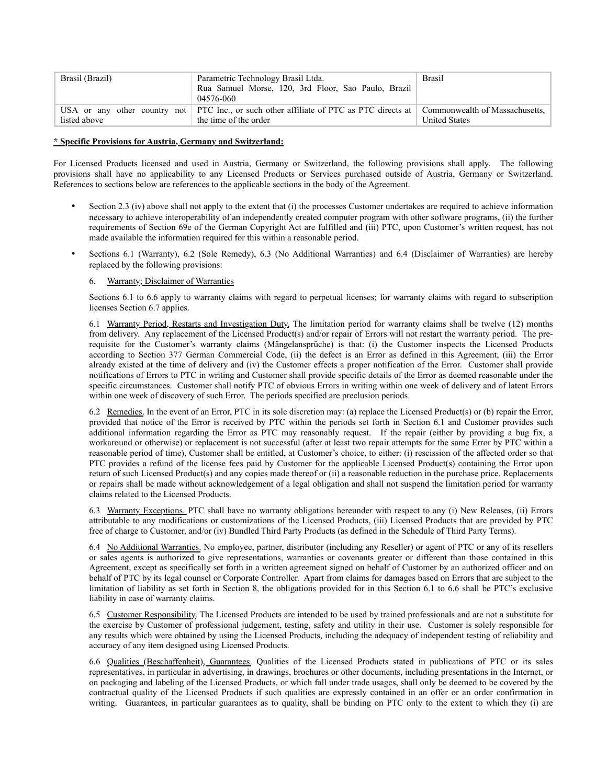| Brasil (Brazil) | Parametric Technology Brasil Ltda.<br>Rua Samuel Morse, 120, 3rd Floor, Sao Paulo, Brazil<br>04576-060                                          | <b>Brasil</b>        |
|-----------------|-------------------------------------------------------------------------------------------------------------------------------------------------|----------------------|
| listed above    | USA or any other country not PTC Inc., or such other affiliate of PTC as PTC directs at Commonwealth of Massachusetts,<br>the time of the order | <b>United States</b> |

#### **\* Specific Provisions for Austria, Germany and Switzerland:**

For Licensed Products licensed and used in Austria, Germany or Switzerland, the following provisions shall apply. The following provisions shall have no applicability to any Licensed Products or Services purchased outside of Austria, Germany or Switzerland. References to sections below are references to the applicable sections in the body of the Agreement.

- Section 2.3 (iv) above shall not apply to the extent that (i) the processes Customer undertakes are required to achieve information necessary to achieve interoperability of an independently created computer program with other software programs, (ii) the further requirements of Section 69e of the German Copyright Act are fulfilled and (iii) PTC, upon Customer's written request, has not made available the information required for this within a reasonable period.
- Sections 6.1 (Warranty), 6.2 (Sole Remedy), 6.3 (No Additional Warranties) and 6.4 (Disclaimer of Warranties) are hereby replaced by the following provisions:

# 6. Warranty; Disclaimer of Warranties

Sections 6.1 to 6.6 apply to warranty claims with regard to perpetual licenses; for warranty claims with regard to subscription licenses Section 6.7 applies.

6.1 Warranty Period, Restarts and Investigation Duty. The limitation period for warranty claims shall be twelve (12) months from delivery. Any replacement of the Licensed Product(s) and/or repair of Errors will not restart the warranty period. The prerequisite for the Customer's warranty claims (Mängelansprüche) is that: (i) the Customer inspects the Licensed Products according to Section 377 German Commercial Code, (ii) the defect is an Error as defined in this Agreement, (iii) the Error already existed at the time of delivery and (iv) the Customer effects a proper notification of the Error. Customer shall provide notifications of Errors to PTC in writing and Customer shall provide specific details of the Error as deemed reasonable under the specific circumstances. Customer shall notify PTC of obvious Errors in writing within one week of delivery and of latent Errors within one week of discovery of such Error. The periods specified are preclusion periods.

6.2 Remedies. In the event of an Error, PTC in its sole discretion may: (a) replace the Licensed Product(s) or (b) repair the Error, provided that notice of the Error is received by PTC within the periods set forth in Section 6.1 and Customer provides such additional information regarding the Error as PTC may reasonably request. If the repair (either by providing a bug fix, a workaround or otherwise) or replacement is not successful (after at least two repair attempts for the same Error by PTC within a reasonable period of time), Customer shall be entitled, at Customer's choice, to either: (i) rescission of the affected order so that PTC provides a refund of the license fees paid by Customer for the applicable Licensed Product(s) containing the Error upon return of such Licensed Product(s) and any copies made thereof or (ii) a reasonable reduction in the purchase price. Replacements or repairs shall be made without acknowledgement of a legal obligation and shall not suspend the limitation period for warranty claims related to the Licensed Products.

6.3 Warranty Exceptions. PTC shall have no warranty obligations hereunder with respect to any (i) New Releases, (ii) Errors attributable to any modifications or customizations of the Licensed Products, (iii) Licensed Products that are provided by PTC free of charge to Customer, and/or (iv) Bundled Third Party Products (as defined in the Schedule of Third Party Terms).

6.4 No Additional Warranties. No employee, partner, distributor (including any Reseller) or agent of PTC or any of its resellers or sales agents is authorized to give representations, warranties or covenants greater or different than those contained in this Agreement, except as specifically set forth in a written agreement signed on behalf of Customer by an authorized officer and on behalf of PTC by its legal counsel or Corporate Controller. Apart from claims for damages based on Errors that are subject to the limitation of liability as set forth in Section 8, the obligations provided for in this Section 6.1 to 6.6 shall be PTC's exclusive liability in case of warranty claims.

6.5 Customer Responsibility. The Licensed Products are intended to be used by trained professionals and are not a substitute for the exercise by Customer of professional judgement, testing, safety and utility in their use. Customer is solely responsible for any results which were obtained by using the Licensed Products, including the adequacy of independent testing of reliability and accuracy of any item designed using Licensed Products.

6.6 Qualities (Beschaffenheit), Guarantees. Qualities of the Licensed Products stated in publications of PTC or its sales representatives, in particular in advertising, in drawings, brochures or other documents, including presentations in the Internet, or on packaging and labeling of the Licensed Products, or which fall under trade usages, shall only be deemed to be covered by the contractual quality of the Licensed Products if such qualities are expressly contained in an offer or an order confirmation in writing. Guarantees, in particular guarantees as to quality, shall be binding on PTC only to the extent to which they (i) are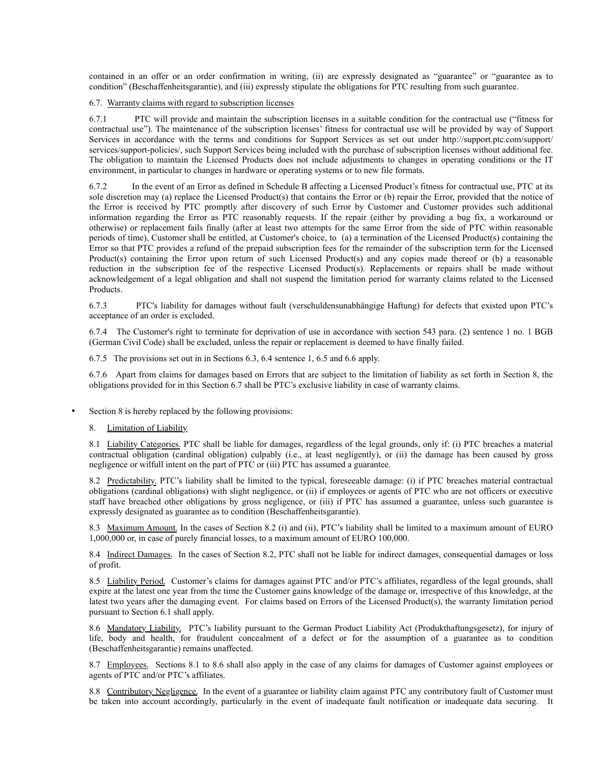contained in an offer or an order confirmation in writing, (ii) are expressly designated as "guarantee" or "guarantee as to condition" (Beschaffenheitsgarantie), and (iii) expressly stipulate the obligations for PTC resulting from such guarantee.

#### 6.7. Warranty claims with regard to subscription licenses

6.7.1 PTC will provide and maintain the subscription licenses in a suitable condition for the contractual use ("fitness for contractual use"). The maintenance of the subscription licenses' fitness for contractual use will be provided by way of Support Services in accordance with the terms and conditions for Support Services as set out under [http://support.ptc.com/support/](http://support.ptc.com/support/services/support-policies/) [services/support-policies/,](http://support.ptc.com/support/services/support-policies/) such Support Services being included with the purchase of subscription licenses without additional fee. The obligation to maintain the Licensed Products does not include adjustments to changes in operating conditions or the IT environment, in particular to changes in hardware or operating systems or to new file formats.

6.7.2 In the event of an Error as defined in Schedule B affecting a Licensed Product's fitness for contractual use, PTC at its sole discretion may (a) replace the Licensed Product(s) that contains the Error or (b) repair the Error, provided that the notice of the Error is received by PTC promptly after discovery of such Error by Customer and Customer provides such additional information regarding the Error as PTC reasonably requests. If the repair (either by providing a bug fix, a workaround or otherwise) or replacement fails finally (after at least two attempts for the same Error from the side of PTC within reasonable periods of time), Customer shall be entitled, at Customer's choice, to (a) a termination of the Licensed Product(s) containing the Error so that PTC provides a refund of the prepaid subscription fees for the remainder of the subscription term for the Licensed Product(s) containing the Error upon return of such Licensed Product(s) and any copies made thereof or (b) a reasonable reduction in the subscription fee of the respective Licensed Product(s). Replacements or repairs shall be made without acknowledgement of a legal obligation and shall not suspend the limitation period for warranty claims related to the Licensed Products.

6.7.3 PTC's liability for damages without fault (verschuldensunabhängige Haftung) for defects that existed upon PTC's acceptance of an order is excluded.

6.7.4 The Customer's right to terminate for deprivation of use in accordance with section 543 para. (2) sentence 1 no. 1 BGB (German Civil Code) shall be excluded, unless the repair or replacement is deemed to have finally failed.

6.7.5 The provisions set out in in Sections 6.3, 6.4 sentence 1, 6.5 and 6.6 apply.

6.7.6 Apart from claims for damages based on Errors that are subject to the limitation of liability as set forth in Section 8, the obligations provided for in this Section 6.7 shall be PTC's exclusive liability in case of warranty claims.

Section 8 is hereby replaced by the following provisions:

#### 8. Limitation of Liability

8.1 Liability Categories. PTC shall be liable for damages, regardless of the legal grounds, only if: (i) PTC breaches a material contractual obligation (cardinal obligation) culpably (i.e., at least negligently), or (ii) the damage has been caused by gross negligence or wilfull intent on the part of PTC or (iii) PTC has assumed a guarantee.

8.2 Predictability. PTC's liability shall be limited to the typical, foreseeable damage: (i) if PTC breaches material contractual obligations (cardinal obligations) with slight negligence, or (ii) if employees or agents of PTC who are not officers or executive staff have breached other obligations by gross negligence, or (iii) if PTC has assumed a guarantee, unless such guarantee is expressly designated as guarantee as to condition (Beschaffenheitsgarantie).

8.3 Maximum Amount. In the cases of Section 8.2 (i) and (ii), PTC's liability shall be limited to a maximum amount of EURO 1,000,000 or, in case of purely financial losses, to a maximum amount of EURO 100,000.

8.4 Indirect Damages. In the cases of Section 8.2, PTC shall not be liable for indirect damages, consequential damages or loss of profit.

8.5 Liability Period. Customer's claims for damages against PTC and/or PTC's affiliates, regardless of the legal grounds, shall expire at the latest one year from the time the Customer gains knowledge of the damage or, irrespective of this knowledge, at the latest two years after the damaging event. For claims based on Errors of the Licensed Product(s), the warranty limitation period pursuant to Section 6.1 shall apply.

8.6 Mandatory Liability. PTC's liability pursuant to the German Product Liability Act (Produkthaftungsgesetz), for injury of life, body and health, for fraudulent concealment of a defect or for the assumption of a guarantee as to condition (Beschaffenheitsgarantie) remains unaffected.

8.7 Employees. Sections 8.1 to 8.6 shall also apply in the case of any claims for damages of Customer against employees or agents of PTC and/or PTC's affiliates.

8.8 Contributory Negligence. In the event of a guarantee or liability claim against PTC any contributory fault of Customer must be taken into account accordingly, particularly in the event of inadequate fault notification or inadequate data securing. It